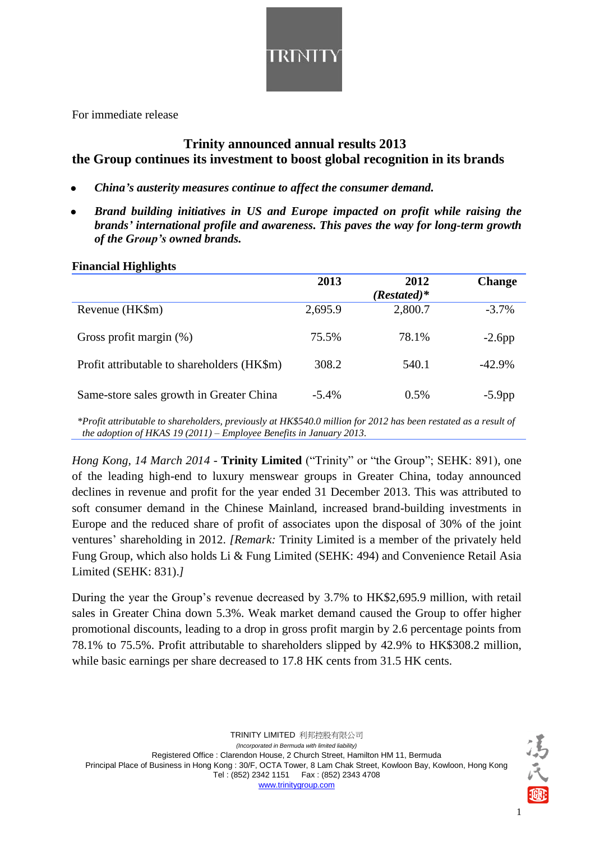

For immediate release

# **Trinity announced annual results 2013 the Group continues its investment to boost global recognition in its brands**

- *China's austerity measures continue to affect the consumer demand.*
- *Brand building initiatives in US and Europe impacted on profit while raising the brands' international profile and awareness. This paves the way for long-term growth of the Group's owned brands.*

| 1 manciai 1115mi5no                         |          |               |               |  |
|---------------------------------------------|----------|---------------|---------------|--|
|                                             | 2013     | 2012          | <b>Change</b> |  |
|                                             |          | $(Restated)*$ |               |  |
| Revenue (HK\$m)                             | 2,695.9  | 2,800.7       | $-3.7%$       |  |
| Gross profit margin $(\%)$                  | 75.5%    | 78.1%         | $-2.6$ pp     |  |
| Profit attributable to shareholders (HK\$m) | 308.2    | 540.1         | $-42.9\%$     |  |
| Same-store sales growth in Greater China    | $-5.4\%$ | 0.5%          | $-5.9$ pp     |  |

#### **Financial Highlights**

*\*Profit attributable to shareholders, previously at HK\$540.0 million for 2012 has been restated as a result of the adoption of HKAS 19 (2011) – Employee Benefits in January 2013.*

*Hong Kong, 14 March 2014* - **Trinity Limited** ("Trinity" or "the Group"; SEHK: 891), one of the leading high-end to luxury menswear groups in Greater China, today announced declines in revenue and profit for the year ended 31 December 2013. This was attributed to soft consumer demand in the Chinese Mainland, increased brand-building investments in Europe and the reduced share of profit of associates upon the disposal of 30% of the joint ventures' shareholding in 2012. *[Remark:* Trinity Limited is a member of the privately held Fung Group, which also holds Li & Fung Limited (SEHK: 494) and Convenience Retail Asia Limited (SEHK: 831).*]*

During the year the Group's revenue decreased by 3.7% to HK\$2,695.9 million, with retail sales in Greater China down 5.3%. Weak market demand caused the Group to offer higher promotional discounts, leading to a drop in gross profit margin by 2.6 percentage points from 78.1% to 75.5%. Profit attributable to shareholders slipped by 42.9% to HK\$308.2 million, while basic earnings per share decreased to 17.8 HK cents from 31.5 HK cents.



1